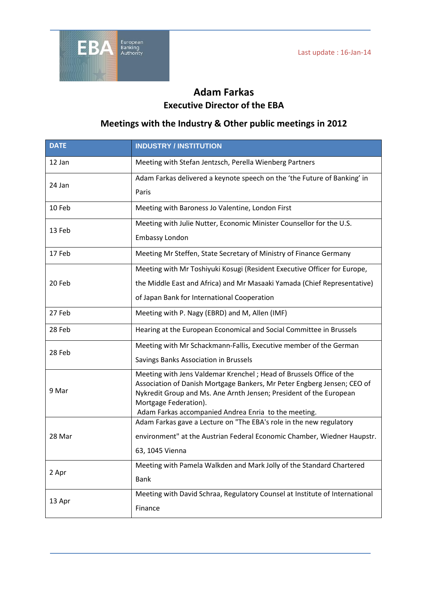

## **Adam Farkas Executive Director of the EBA**

## **Meetings with the Industry & Other public meetings in 2012**

| <b>DATE</b> | <b>INDUSTRY / INSTITUTION</b>                                                                                                                 |
|-------------|-----------------------------------------------------------------------------------------------------------------------------------------------|
| 12 Jan      | Meeting with Stefan Jentzsch, Perella Wienberg Partners                                                                                       |
| 24 Jan      | Adam Farkas delivered a keynote speech on the 'the Future of Banking' in                                                                      |
|             | Paris                                                                                                                                         |
| 10 Feb      | Meeting with Baroness Jo Valentine, London First                                                                                              |
| 13 Feb      | Meeting with Julie Nutter, Economic Minister Counsellor for the U.S.                                                                          |
|             | <b>Embassy London</b>                                                                                                                         |
| 17 Feb      | Meeting Mr Steffen, State Secretary of Ministry of Finance Germany                                                                            |
| 20 Feb      | Meeting with Mr Toshiyuki Kosugi (Resident Executive Officer for Europe,                                                                      |
|             | the Middle East and Africa) and Mr Masaaki Yamada (Chief Representative)                                                                      |
|             | of Japan Bank for International Cooperation                                                                                                   |
| 27 Feb      | Meeting with P. Nagy (EBRD) and M, Allen (IMF)                                                                                                |
| 28 Feb      | Hearing at the European Economical and Social Committee in Brussels                                                                           |
| 28 Feb      | Meeting with Mr Schackmann-Fallis, Executive member of the German                                                                             |
|             | Savings Banks Association in Brussels                                                                                                         |
| 9 Mar       | Meeting with Jens Valdemar Krenchel; Head of Brussels Office of the                                                                           |
|             | Association of Danish Mortgage Bankers, Mr Peter Engberg Jensen; CEO of<br>Nykredit Group and Ms. Ane Arnth Jensen; President of the European |
|             | Mortgage Federation).<br>Adam Farkas accompanied Andrea Enria to the meeting.                                                                 |
| 28 Mar      | Adam Farkas gave a Lecture on "The EBA's role in the new regulatory                                                                           |
|             | environment" at the Austrian Federal Economic Chamber, Wiedner Haupstr.                                                                       |
|             | 63, 1045 Vienna                                                                                                                               |
| 2 Apr       | Meeting with Pamela Walkden and Mark Jolly of the Standard Chartered                                                                          |
|             | <b>Bank</b>                                                                                                                                   |
| 13 Apr      | Meeting with David Schraa, Regulatory Counsel at Institute of International                                                                   |
|             | Finance                                                                                                                                       |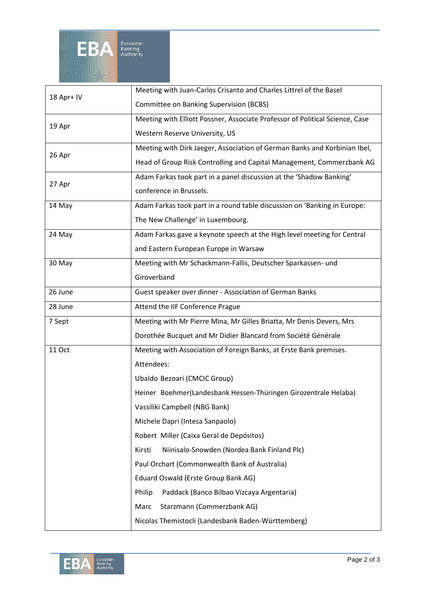

| 18 Apr+ IV    | Meeting with Juan-Carlos Crisanto and Charles Littrel of the Basel           |
|---------------|------------------------------------------------------------------------------|
|               | <b>Committee on Banking Supervision (BCBS)</b>                               |
| 19 Apr        | Meeting with Elliott Possner, Associate Professor of Political Science, Case |
|               | Western Reserve University, US                                               |
| 26 Apr        | Meeting with Dirk Jaeger, Association of German Banks and Korbinian Ibel,    |
|               | Head of Group Risk Controlling and Capital Management, Commerzbank AG        |
| 27 Apr        | Adam Farkas took part in a panel discussion at the 'Shadow Banking'          |
|               | conference in Brussels.                                                      |
| 14 May        | Adam Farkas took part in a round table discussion on 'Banking in Europe:     |
|               | The New Challenge' in Luxembourg.                                            |
| 24 May        | Adam Farkas gave a keynote speech at the High level meeting for Central      |
|               | and Eastern European Europe in Warsaw                                        |
| 30 May        | Meeting with Mr Schackmann-Fallis, Deutscher Sparkassen- und                 |
|               | Giroverband                                                                  |
| 26 June       | Guest speaker over dinner - Association of German Banks                      |
| 28 June       | Attend the IIF Conference Prague                                             |
| 7 Sept        | Meeting with Mr Pierre Mina, Mr Gilles Briatta, Mr Denis Devers, Mrs         |
|               | Dorothée Bucquet and Mr Didier Blancard from Société Générale                |
| <b>11 Oct</b> | Meeting with Association of Foreign Banks, at Erste Bank premises.           |
|               | Attendees:                                                                   |
|               | Ubaldo Bezoari (CMCIC Group)                                                 |
|               | Heiner Boehmer(Landesbank Hessen-Thüringen Girozentrale Helaba)              |
|               | Vassiliki Campbell (NBG Bank)                                                |
|               | Michele Dapri (Intesa Sanpaolo)                                              |
|               | Robert Miller (Caixa Geral de Depósitos)                                     |
|               | Niinisalo-Snowden (Nordea Bank Finland Plc)<br>Kirsti                        |
|               | Paul Orchart (Commonwealth Bank of Australia)                                |
|               | Eduard Oswald (Erste Group Bank AG)                                          |
|               | Paddack (Banco Bilbao Vizcaya Argentaria)<br>Philip                          |
|               | Starzmann (Commerzbank AG)<br>Marc                                           |
|               | Nicolas Themistocli (Landesbank Baden-Württemberg)                           |